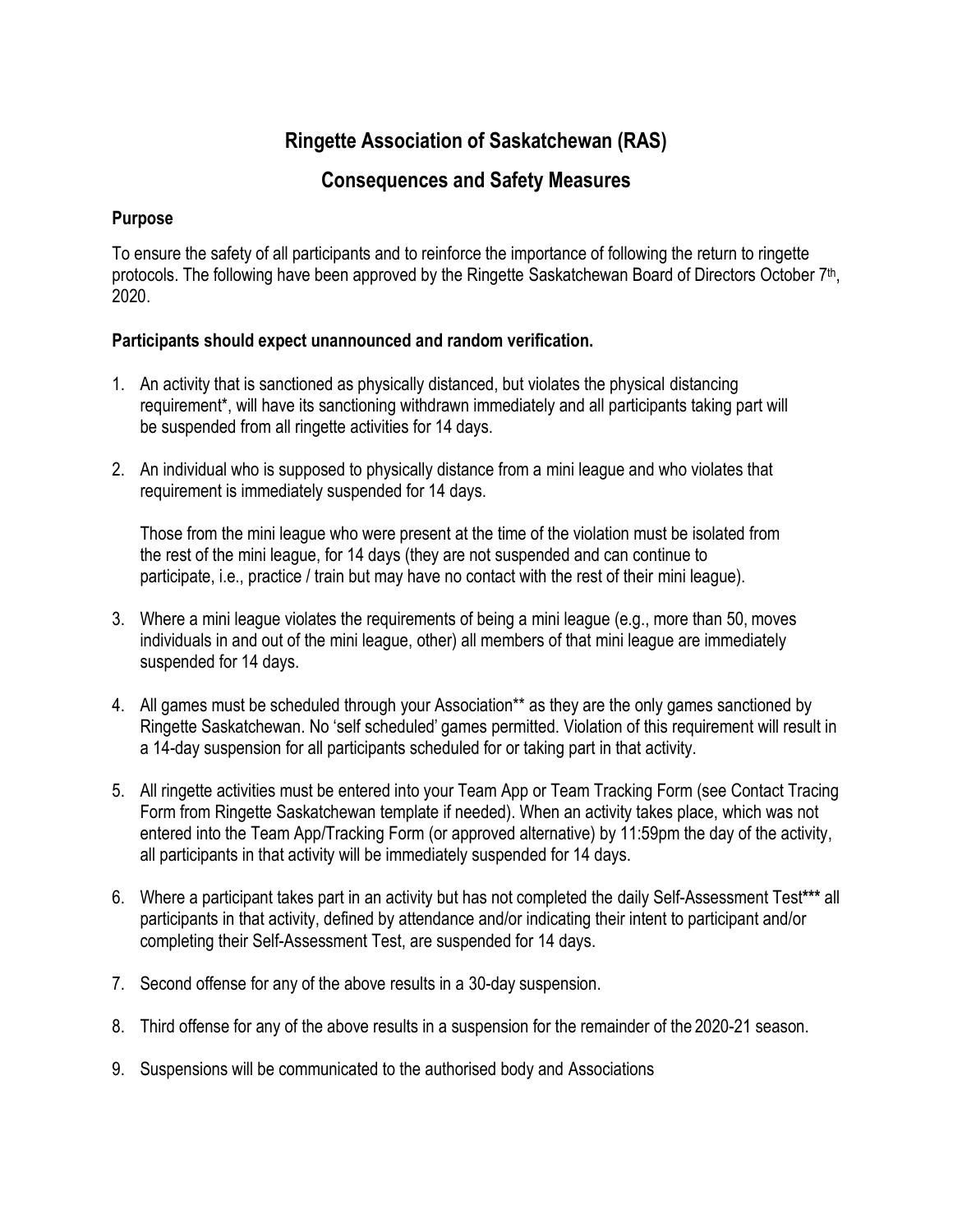## **Ringette Association of Saskatchewan (RAS)**

## **Consequences and Safety Measures**

## **Purpose**

To ensure the safety of all participants and to reinforce the importance of following the return to ringette protocols. The following have been approved by the Ringette Saskatchewan Board of Directors October 7<sup>th</sup>, 2020.

## **Participants should expect unannounced and random verification.**

- 1. An activity that is sanctioned as physically distanced, but violates the physical distancing requirement\*, will have its sanctioning withdrawn immediately and all participants taking part will be suspended from all ringette activities for 14 days.
- 2. An individual who is supposed to physically distance from a mini league and who violates that requirement is immediately suspended for 14 days.

Those from the mini league who were present at the time of the violation must be isolated from the rest of the mini league, for 14 days (they are not suspended and can continue to participate, i.e., practice / train but may have no contact with the rest of their mini league).

- 3. Where a mini league violates the requirements of being a mini league (e.g., more than 50, moves individuals in and out of the mini league, other) all members of that mini league are immediately suspended for 14 days.
- 4. All games must be scheduled through your Association\*\* as they are the only games sanctioned by Ringette Saskatchewan. No 'self scheduled' games permitted. Violation of this requirement will result in a 14-day suspension for all participants scheduled for or taking part in that activity.
- 5. All ringette activities must be entered into your Team App or Team Tracking Form (see Contact Tracing Form from Ringette Saskatchewan template if needed). When an activity takes place, which was not entered into the Team App/Tracking Form (or approved alternative) by 11:59pm the day of the activity, all participants in that activity will be immediately suspended for 14 days.
- 6. Where a participant takes part in an activity but has not completed the daily Self-Assessment Test**\*\*\*** all participants in that activity, defined by attendance and/or indicating their intent to participant and/or completing their Self-Assessment Test, are suspended for 14 days.
- 7. Second offense for any of the above results in a 30-day suspension.
- 8. Third offense for any of the above results in a suspension for the remainder of the 2020-21 season.
- 9. Suspensions will be communicated to the authorised body and Associations